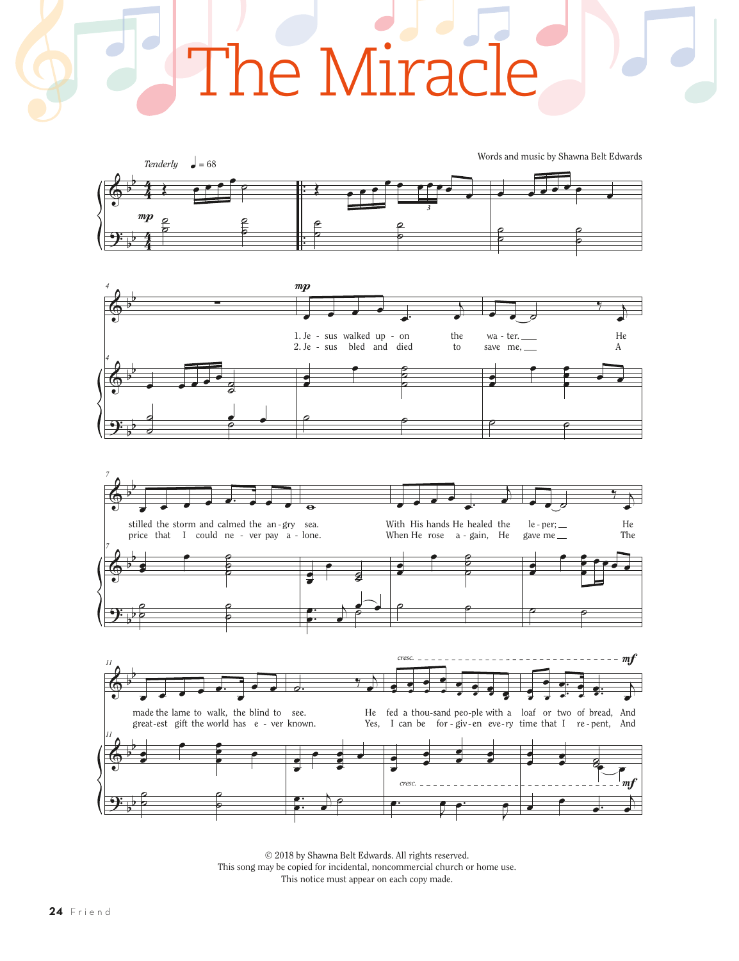## . TATTI ( The Miracle









© 2018 by Shawna Belt Edwards. All rights reserved. This song may be copied for incidental, noncommercial church or home use. This notice must appear on each copy made.